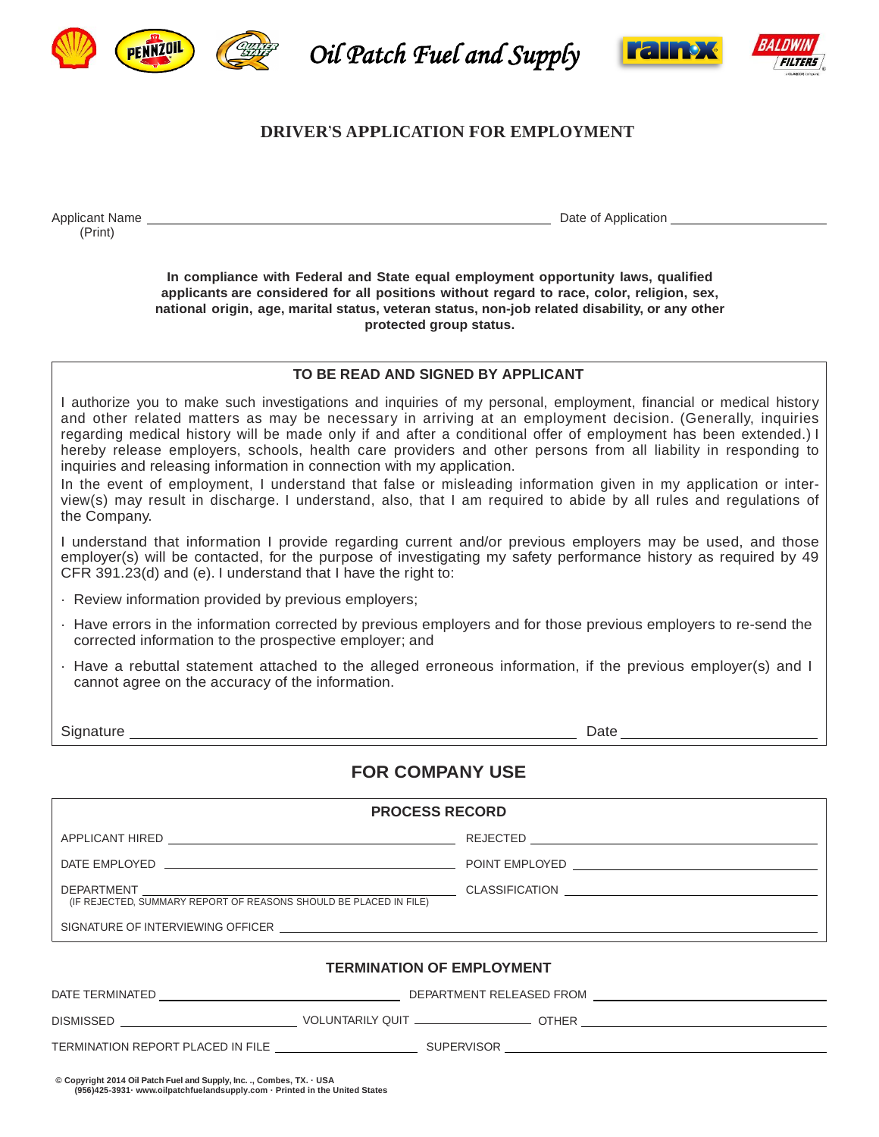

**PENNZUL** (  $\frac{1}{2}$  Oil Patch Fuel and Supply



# **DRIVER'S APPLICATION FOR EMPLOYMENT**

Applicant Name Date of Application (Print)

**In compliance with Federal and State equal employment opportunity laws, qualified applicants are considered for all positions without regard to race, color, religion, sex, national origin, age, marital status, veteran status, non-job related disability, or any other protected group status.**

### **TO BE READ AND SIGNED BY APPLICANT**

I authorize you to make such investigations and inquiries of my personal, employment, financial or medical history and other related matters as may be necessary in arriving at an employment decision. (Generally, inquiries regarding medical history will be made only if and after a conditional offer of employment has been extended.) I hereby release employers, schools, health care providers and other persons from all liability in responding to inquiries and releasing information in connection with my application.

In the event of employment, I understand that false or misleading information given in my application or interview(s) may result in discharge. I understand, also, that I am required to abide by all rules and regulations of the Company.

I understand that information I provide regarding current and/or previous employers may be used, and those employer(s) will be contacted, for the purpose of investigating my safety performance history as required by 49 CFR 391.23(d) and (e). I understand that I have the right to:

- · Review information provided by previous employers;
- · Have errors in the information corrected by previous employers and for those previous employers to re-send the corrected information to the prospective employer; and
- · Have a rebuttal statement attached to the alleged erroneous information, if the previous employer(s) and I cannot agree on the accuracy of the information.

Signature Date

# **FOR COMPANY USE**

| <b>PROCESS RECORD</b>                                                                                                                                 |                                                                                                              |                                                                                                |  |  |  |  |  |  |
|-------------------------------------------------------------------------------------------------------------------------------------------------------|--------------------------------------------------------------------------------------------------------------|------------------------------------------------------------------------------------------------|--|--|--|--|--|--|
|                                                                                                                                                       |                                                                                                              |                                                                                                |  |  |  |  |  |  |
|                                                                                                                                                       |                                                                                                              |                                                                                                |  |  |  |  |  |  |
|                                                                                                                                                       |                                                                                                              | DEPARTMENT<br>(IF REJECTED, SUMMARY REPORT OF REASONS SHOULD BE PLACED IN FILE) CLASSIFICATION |  |  |  |  |  |  |
|                                                                                                                                                       | SIGNATURE OF INTERVIEWING OFFICER THE SERVICE OF A SERVICE OF STREET AND THE SERVICE OF INTERVIEWING OFFICER |                                                                                                |  |  |  |  |  |  |
|                                                                                                                                                       |                                                                                                              | <b>TERMINATION OF EMPLOYMENT</b>                                                               |  |  |  |  |  |  |
|                                                                                                                                                       |                                                                                                              |                                                                                                |  |  |  |  |  |  |
|                                                                                                                                                       |                                                                                                              |                                                                                                |  |  |  |  |  |  |
|                                                                                                                                                       |                                                                                                              |                                                                                                |  |  |  |  |  |  |
| © Copyright 2014 Oil Patch Fuel and Supply, Inc. ., Combes, TX. . USA<br>(956)425-3931 · www.oilpatchfuelandsupply.com · Printed in the United States |                                                                                                              |                                                                                                |  |  |  |  |  |  |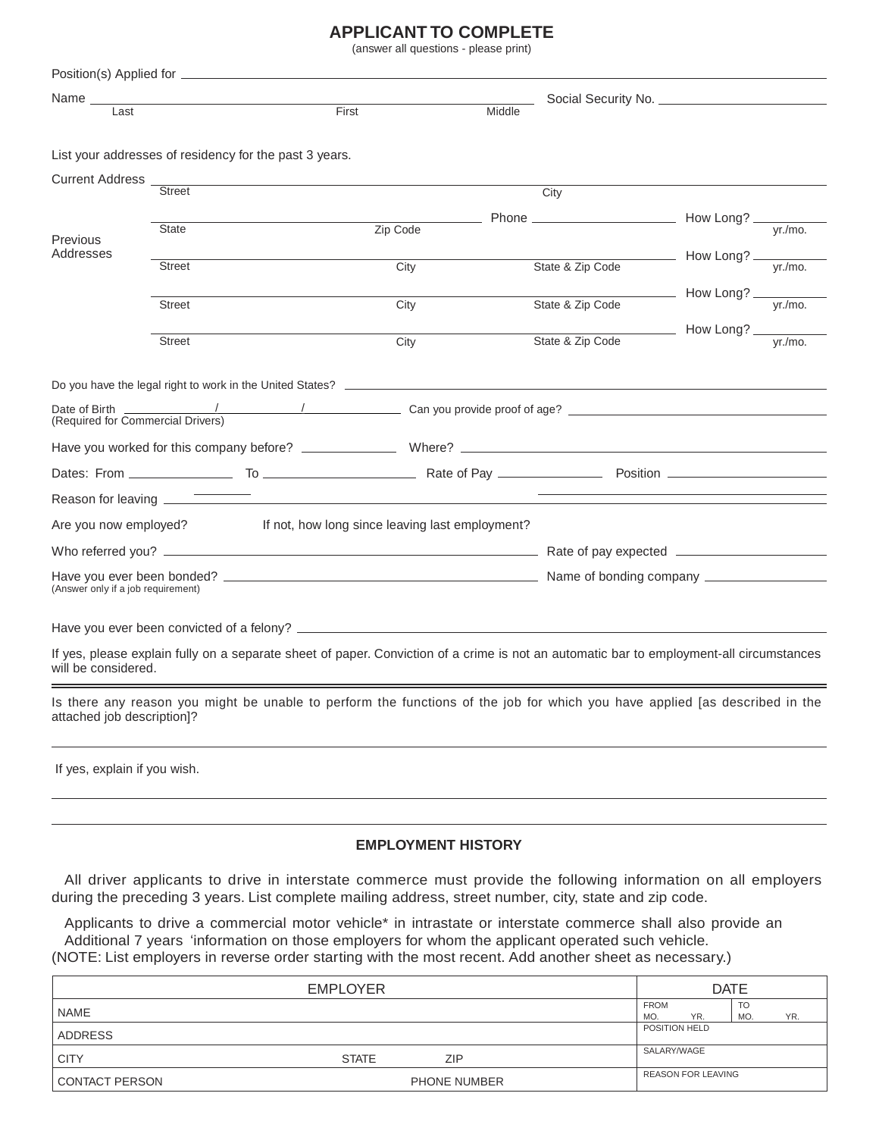# **APPLICANT TO COMPLETE**

(answer all questions - please print)

| Name_                                              |                                                           |                                                 |                                                                                                                                          |                       |
|----------------------------------------------------|-----------------------------------------------------------|-------------------------------------------------|------------------------------------------------------------------------------------------------------------------------------------------|-----------------------|
| Last                                               |                                                           | First                                           | Middle                                                                                                                                   |                       |
|                                                    |                                                           |                                                 |                                                                                                                                          |                       |
|                                                    | List your addresses of residency for the past 3 years.    |                                                 |                                                                                                                                          |                       |
| Current Address _                                  | <b>Street</b>                                             |                                                 | City                                                                                                                                     |                       |
|                                                    |                                                           |                                                 |                                                                                                                                          |                       |
| Previous                                           | <b>State</b>                                              | Zip Code                                        |                                                                                                                                          |                       |
| Addresses                                          | <b>Street</b>                                             | City                                            | State & Zip Code                                                                                                                         | How Long?<br>vr./mo.  |
|                                                    |                                                           |                                                 |                                                                                                                                          |                       |
|                                                    | <b>Street</b>                                             | City                                            | State & Zip Code                                                                                                                         | - How Long?<br>yr/mo. |
|                                                    |                                                           |                                                 |                                                                                                                                          | How Long?             |
|                                                    | <b>Street</b>                                             | City                                            | State & Zip Code                                                                                                                         | vr./mo.               |
|                                                    |                                                           |                                                 |                                                                                                                                          |                       |
|                                                    | Do you have the legal right to work in the United States? |                                                 |                                                                                                                                          |                       |
| Date of Birth<br>(Required for Commercial Drivers) |                                                           |                                                 |                                                                                                                                          |                       |
|                                                    |                                                           |                                                 |                                                                                                                                          |                       |
|                                                    |                                                           |                                                 |                                                                                                                                          |                       |
|                                                    |                                                           |                                                 |                                                                                                                                          |                       |
| Are you now employed?                              |                                                           | If not, how long since leaving last employment? |                                                                                                                                          |                       |
|                                                    |                                                           |                                                 |                                                                                                                                          |                       |
| (Answer only if a job requirement)                 |                                                           |                                                 |                                                                                                                                          |                       |
|                                                    |                                                           |                                                 |                                                                                                                                          |                       |
|                                                    |                                                           |                                                 |                                                                                                                                          |                       |
| will be considered.                                |                                                           |                                                 | If yes, please explain fully on a separate sheet of paper. Conviction of a crime is not an automatic bar to employment-all circumstances |                       |
| attached job description]?                         |                                                           |                                                 | Is there any reason you might be unable to perform the functions of the job for which you have applied [as described in the              |                       |
| If yes, explain if you wish.                       |                                                           |                                                 |                                                                                                                                          |                       |

# **EMPLOYMENT HISTORY**

All driver applicants to drive in interstate commerce must provide the following information on all employers during the preceding 3 years. List complete mailing address, street number, city, state and zip code.

Applicants to drive a commercial motor vehicle\* in intrastate or interstate commerce shall also provide an Additional 7 years 'information on those employers for whom the applicant operated such vehicle. (NOTE: List employers in reverse order starting with the most recent. Add another sheet as necessary.)

|                       | <b>DATE</b>                |  |                    |                           |                  |     |
|-----------------------|----------------------------|--|--------------------|---------------------------|------------------|-----|
| NAME                  |                            |  | <b>FROM</b><br>MO. | YR.                       | <b>TO</b><br>MO. | YR. |
| <b>ADDRESS</b>        |                            |  | POSITION HELD      |                           |                  |     |
| <b>CITY</b>           | <b>STATE</b><br><b>ZIP</b> |  | SALARY/WAGE        |                           |                  |     |
| <b>CONTACT PERSON</b> | PHONE NUMBER               |  |                    | <b>REASON FOR LEAVING</b> |                  |     |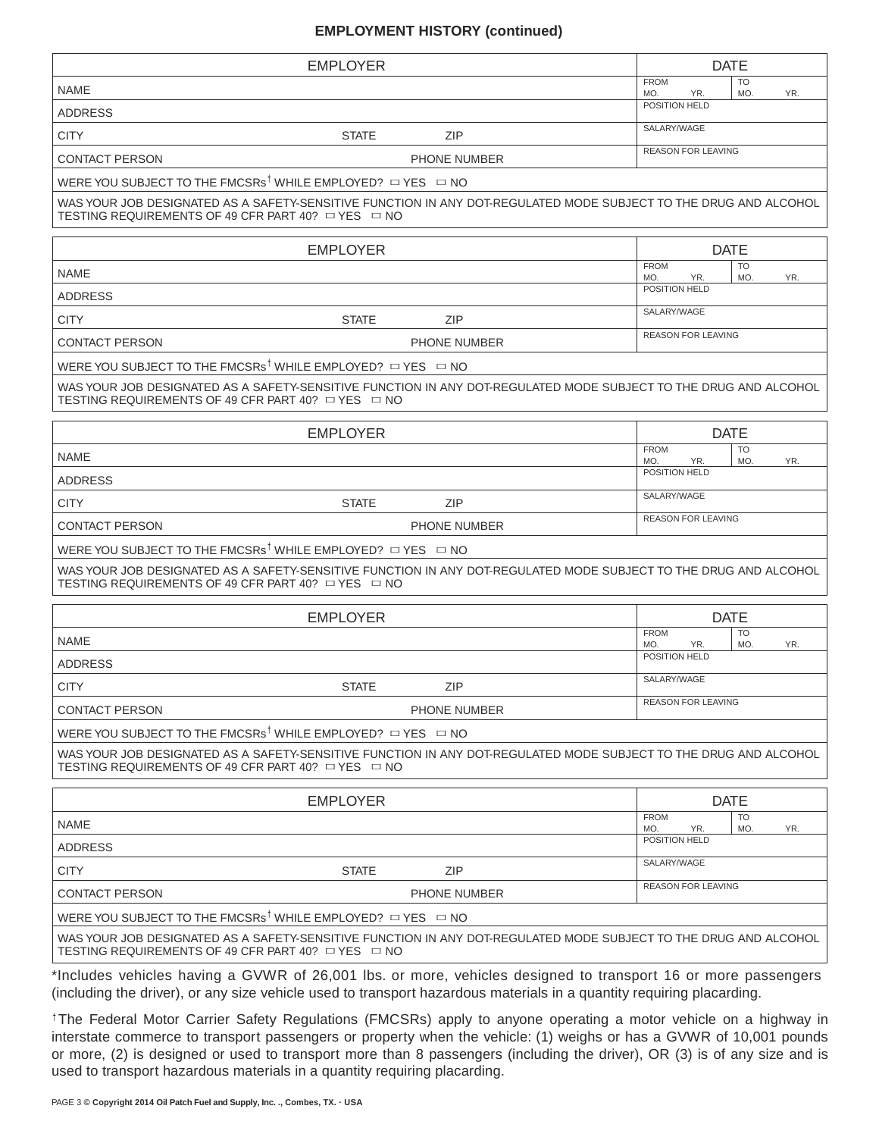## **EMPLOYMENT HISTORY (continued)**

|                                                                                  | <b>EMPLOYER</b> |                                                                                                                                                                                                                                        | <b>DATE</b>                                   |     |
|----------------------------------------------------------------------------------|-----------------|----------------------------------------------------------------------------------------------------------------------------------------------------------------------------------------------------------------------------------------|-----------------------------------------------|-----|
| <b>NAME</b>                                                                      |                 |                                                                                                                                                                                                                                        | <b>FROM</b><br><b>TO</b><br>YR.<br>MO.<br>MO. | YR. |
| <b>ADDRESS</b>                                                                   |                 |                                                                                                                                                                                                                                        | POSITION HELD                                 |     |
| <b>CITY</b>                                                                      | <b>STATE</b>    | <b>ZIP</b>                                                                                                                                                                                                                             | SALARY/WAGE                                   |     |
| <b>CONTACT PERSON</b>                                                            |                 | PHONE NUMBER                                                                                                                                                                                                                           | <b>REASON FOR LEAVING</b>                     |     |
| WERE YOU SUBJECT TO THE FMCSRs <sup>†</sup> WHILE EMPLOYED? $\Box$ YES $\Box$ NO |                 |                                                                                                                                                                                                                                        |                                               |     |
| TESTING REQUIREMENTS OF 49 CFR PART 40? $\Box$ YES $\Box$ NO                     |                 | WAS YOUR JOB DESIGNATED AS A SAFETY-SENSITIVE FUNCTION IN ANY DOT-REGULATED MODE SUBJECT TO THE DRUG AND ALCOHOL                                                                                                                       |                                               |     |
|                                                                                  | <b>EMPLOYER</b> |                                                                                                                                                                                                                                        | <b>DATE</b>                                   |     |
| <b>NAME</b>                                                                      |                 |                                                                                                                                                                                                                                        | <b>FROM</b><br><b>TO</b><br>MO.<br>MO.<br>YR. | YR. |
| <b>ADDRESS</b>                                                                   |                 |                                                                                                                                                                                                                                        | POSITION HELD                                 |     |
| <b>CITY</b>                                                                      | <b>STATE</b>    | <b>ZIP</b>                                                                                                                                                                                                                             | SALARY/WAGE                                   |     |
| <b>CONTACT PERSON</b>                                                            |                 | PHONE NUMBER                                                                                                                                                                                                                           | <b>REASON FOR LEAVING</b>                     |     |
| WERE YOU SUBJECT TO THE FMCSRs <sup>†</sup> WHILE EMPLOYED? $\Box$ YES $\Box$ NO |                 |                                                                                                                                                                                                                                        |                                               |     |
| TESTING REQUIREMENTS OF 49 CFR PART 40? □ YES □ NO                               |                 | WAS YOUR JOB DESIGNATED AS A SAFETY-SENSITIVE FUNCTION IN ANY DOT-REGULATED MODE SUBJECT TO THE DRUG AND ALCOHOL                                                                                                                       |                                               |     |
|                                                                                  | <b>EMPLOYER</b> |                                                                                                                                                                                                                                        | <b>DATE</b>                                   |     |
| <b>NAME</b>                                                                      |                 |                                                                                                                                                                                                                                        | <b>FROM</b><br><b>TO</b><br>MO.<br>MO.<br>YR. | YR. |
| <b>ADDRESS</b>                                                                   |                 |                                                                                                                                                                                                                                        | POSITION HELD                                 |     |
| <b>CITY</b>                                                                      | <b>STATE</b>    | <b>ZIP</b>                                                                                                                                                                                                                             | SALARY/WAGE                                   |     |
| <b>CONTACT PERSON</b>                                                            |                 | <b>PHONE NUMBER</b>                                                                                                                                                                                                                    | <b>REASON FOR LEAVING</b>                     |     |
| WERE YOU SUBJECT TO THE FMCSRs <sup>†</sup> WHILE EMPLOYED? $\Box$ YES $\Box$ NO |                 |                                                                                                                                                                                                                                        |                                               |     |
| TESTING REQUIREMENTS OF 49 CFR PART 40? $\Box$ YES $\ \Box$ NO                   |                 | WAS YOUR JOB DESIGNATED AS A SAFETY-SENSITIVE FUNCTION IN ANY DOT-REGULATED MODE SUBJECT TO THE DRUG AND ALCOHOL                                                                                                                       |                                               |     |
|                                                                                  | <b>EMPLOYER</b> |                                                                                                                                                                                                                                        | <b>DATE</b>                                   |     |
| <b>NAME</b>                                                                      |                 |                                                                                                                                                                                                                                        | <b>FROM</b><br><b>TO</b><br>MO.<br>MO.        | YR. |
| <b>ADDRESS</b>                                                                   |                 |                                                                                                                                                                                                                                        | YR.<br>POSITION HELD                          |     |
| <b>CITY</b>                                                                      | <b>STATE</b>    | ZIP                                                                                                                                                                                                                                    | SALARY/WAGE                                   |     |
| <b>CONTACT PERSON</b>                                                            |                 | PHONE NUMBER                                                                                                                                                                                                                           | REASON FOR LEAVING                            |     |
| WERE YOU SUBJECT TO THE FMCSRs <sup>†</sup> WHILE EMPLOYED? $\Box$ YES $\Box$ NO |                 |                                                                                                                                                                                                                                        |                                               |     |
| TESTING REQUIREMENTS OF 49 CFR PART 40? □ YES □ NO                               |                 | WAS YOUR JOB DESIGNATED AS A SAFETY-SENSITIVE FUNCTION IN ANY DOT-REGULATED MODE SUBJECT TO THE DRUG AND ALCOHOL                                                                                                                       |                                               |     |
|                                                                                  | <b>EMPLOYER</b> |                                                                                                                                                                                                                                        | <b>DATE</b>                                   |     |
| <b>NAME</b>                                                                      |                 |                                                                                                                                                                                                                                        | <b>FROM</b><br><b>TO</b><br>MO.<br>YR.<br>MO. | YR. |
| <b>ADDRESS</b>                                                                   |                 |                                                                                                                                                                                                                                        | POSITION HELD                                 |     |
| <b>CITY</b>                                                                      | <b>STATE</b>    | <b>ZIP</b>                                                                                                                                                                                                                             | SALARY/WAGE                                   |     |
| <b>CONTACT PERSON</b>                                                            |                 | PHONE NUMBER                                                                                                                                                                                                                           | <b>REASON FOR LEAVING</b>                     |     |
| WERE YOU SUBJECT TO THE FMCSRs <sup>†</sup> WHILE EMPLOYED? $\Box$ YES $\Box$ NO |                 |                                                                                                                                                                                                                                        |                                               |     |
| TESTING REQUIREMENTS OF 49 CFR PART 40? $\Box$ YES $\Box$ NO                     |                 | WAS YOUR JOB DESIGNATED AS A SAFETY-SENSITIVE FUNCTION IN ANY DOT-REGULATED MODE SUBJECT TO THE DRUG AND ALCOHOL                                                                                                                       |                                               |     |
|                                                                                  |                 | *Includes vehicles having a GVWR of 26,001 lbs. or more, vehicles designed to transport 16 or more passengers<br>(including the driver), or any size vehicle used to transport hazardous materials in a quantity requiring placarding. |                                               |     |
|                                                                                  |                 | <sup>†</sup> The Federal Motor Carrier Safety Regulations (FMCSRs) apply to anyone operating a motor vehicle on a highway in                                                                                                           |                                               |     |

interstate commerce to transport passengers or property when the vehicle: (1) weighs or has a GVWR of 10,001 pounds or more, (2) is designed or used to transport more than 8 passengers (including the driver), OR (3) is of any size and is used to transport hazardous materials in a quantity requiring placarding.